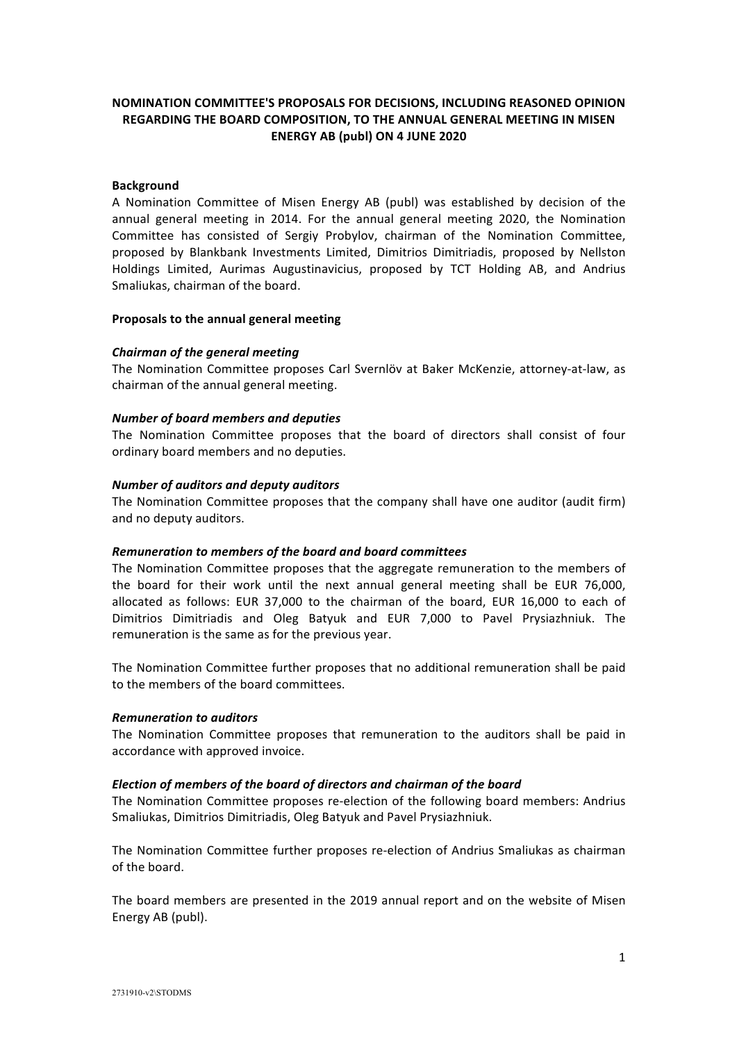# **NOMINATION COMMITTEE'S PROPOSALS FOR DECISIONS, INCLUDING REASONED OPINION REGARDING THE BOARD COMPOSITION, TO THE ANNUAL GENERAL MEETING IN MISEN ENERGY AB (publ) ON 4 JUNE 2020**

### **Background**

A Nomination Committee of Misen Energy AB (publ) was established by decision of the annual general meeting in 2014. For the annual general meeting 2020, the Nomination Committee has consisted of Sergiy Probylov, chairman of the Nomination Committee, proposed by Blankbank Investments Limited, Dimitrios Dimitriadis, proposed by Nellston Holdings Limited, Aurimas Augustinavicius, proposed by TCT Holding AB, and Andrius Smaliukas, chairman of the board.

### **Proposals to the annual general meeting**

## *Chairman of the general meeting*

The Nomination Committee proposes Carl Svernlöv at Baker McKenzie, attorney-at-law, as chairman of the annual general meeting.

### *Number of board members and deputies*

The Nomination Committee proposes that the board of directors shall consist of four ordinary board members and no deputies.

### *Number of auditors and deputy auditors*

The Nomination Committee proposes that the company shall have one auditor (audit firm) and no deputy auditors.

### *Remuneration to members of the board and board committees*

The Nomination Committee proposes that the aggregate remuneration to the members of the board for their work until the next annual general meeting shall be EUR 76,000, allocated as follows: EUR 37,000 to the chairman of the board, EUR 16,000 to each of Dimitrios Dimitriadis and Oleg Batyuk and EUR 7,000 to Pavel Prysiazhniuk. The remuneration is the same as for the previous year.

The Nomination Committee further proposes that no additional remuneration shall be paid to the members of the board committees.

### *Remuneration to auditors*

The Nomination Committee proposes that remuneration to the auditors shall be paid in accordance with approved invoice.

### *Election of members of the board of directors and chairman of the board*

The Nomination Committee proposes re-election of the following board members: Andrius Smaliukas, Dimitrios Dimitriadis, Oleg Batyuk and Pavel Prysiazhniuk.

The Nomination Committee further proposes re-election of Andrius Smaliukas as chairman of the board.

The board members are presented in the 2019 annual report and on the website of Misen Energy AB (publ).